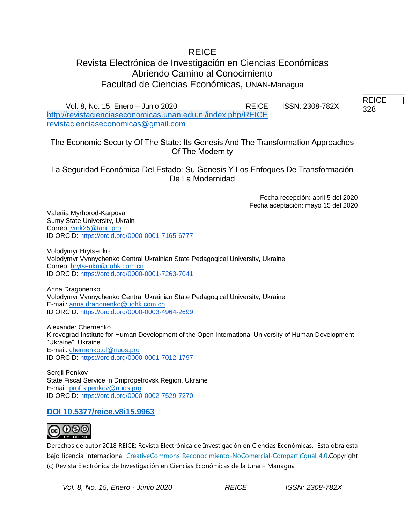# REICE

.

# Revista Electrónica de Investigación en Ciencias Económicas Abriendo Camino al Conocimiento Facultad de Ciencias Económicas, UNAN-Managua

Vol. 8, No. 15, Enero – Junio 2020 REICE ISSN: 2308-782X <http://revistacienciaseconomicas.unan.edu.ni/index.php/REICE> [revistacienciaseconomicas@gmail.com](mailto:revistacienciaseconomicas@gmail.com)

The Economic Security Of The State: Its Genesis And The Transformation Approaches Of The Modernity

La Seguridad Económica Del Estado: Su Genesis Y Los Enfoques De Transformación De La Modernidad

> Fecha recepción: abril 5 del 2020 Fecha aceptación: mayo 15 del 2020

Valeriia Myrhorod-Karpova Sumy State University, Ukrain Correo: [vmk25@tanu.pro](mailto:vmk25@tanu.pro) ID ORCID: [https://orcid.org/0000-0001-7165-6777](https://orcid.org/0000-0002-9621-2117)

Volodymyr Hrytsenko Volodymyr Vynnychenko Central Ukrainian State Pedagogical University, Ukraine Correo: [hrytsenko@uohk.com.cn](mailto:hrytsenko@uohk.com.cn) ID ORCID: [https://orcid.org/0000-0001-7263-7041](https://orcid.org/0000-0002-9621-2117)

Anna Dragonenko Volodymyr Vynnychenko Central Ukrainian State Pedagogical University, Ukraine E-mail: [anna.dragonenko@uohk.com.cn](mailto:anna.dragonenko@uohk.com.cn) ID ORCID: [https://orcid.org/0000-0003-4964-2699](https://orcid.org/0000-0002-9621-2117)

Alexander Chernenko Kirovograd Institute for Human Development of the Open International University of Human Development "Ukraine", Ukraine E-mail: [chernenko.ol@nuos.pro](mailto:chernenko.ol@nuos.pro) ID ORCID: [https://orcid.org/0000-0001-7012-1797](https://orcid.org/0000-0002-9621-2117)

Sergii Penkov State Fiscal Service in Dnipropetrovsk Region, Ukraine E-mail: [prof.s.penkov@nuos.pro](mailto:prof.s.penkov@nuos.pro) ID ORCID: [https://orcid.org/0000-0002-7529-7270](https://orcid.org/0000-0002-7529-7270%20DOI%2010.5377/reice.v8i15.9963)

# **[DOI 10.5377/reice.v8i15.9963](https://orcid.org/0000-0002-7529-7270%20DOI%2010.5377/reice.v8i15.9963)**



Derechos de autor 2018 REICE: Revista Electrónica de Investigación en Ciencias Económicas. Esta obra está bajo licencia internacional [CreativeCommons Reconocimiento-NoComercial-CompartirIgual 4.0.C](http://creativecommons.org/licenses/by-nc-sa/4.0/)opyright (c) Revista Electrónica de Investigación en Ciencias Económicas de la Unan- Managua

*Vol. 8, No. 15, Enero - Junio 2020 REICE ISSN: 2308-782X*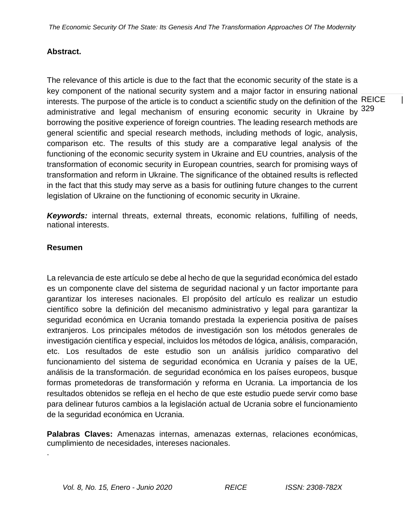## **Abstract.**

interests. The purpose of the article is to conduct a scientific study on the definition of the  $REICE$  | administrative and legal mechanism of ensuring economic security in Ukraine by <sup>329</sup> The relevance of this article is due to the fact that the economic security of the state is a key component of the national security system and a major factor in ensuring national borrowing the positive experience of foreign countries. The leading research methods are general scientific and special research methods, including methods of logic, analysis, comparison etc. The results of this study are a comparative legal analysis of the functioning of the economic security system in Ukraine and EU countries, analysis of the transformation of economic security in European countries, search for promising ways of transformation and reform in Ukraine. The significance of the obtained results is reflected in the fact that this study may serve as a basis for outlining future changes to the current legislation of Ukraine on the functioning of economic security in Ukraine.

*Keywords:* internal threats, external threats, economic relations, fulfilling of needs, national interests.

### **Resumen**

.

La relevancia de este artículo se debe al hecho de que la seguridad económica del estado es un componente clave del sistema de seguridad nacional y un factor importante para garantizar los intereses nacionales. El propósito del artículo es realizar un estudio científico sobre la definición del mecanismo administrativo y legal para garantizar la seguridad económica en Ucrania tomando prestada la experiencia positiva de países extranjeros. Los principales métodos de investigación son los métodos generales de investigación científica y especial, incluidos los métodos de lógica, análisis, comparación, etc. Los resultados de este estudio son un análisis jurídico comparativo del funcionamiento del sistema de seguridad económica en Ucrania y países de la UE, análisis de la transformación. de seguridad económica en los países europeos, busque formas prometedoras de transformación y reforma en Ucrania. La importancia de los resultados obtenidos se refleja en el hecho de que este estudio puede servir como base para delinear futuros cambios a la legislación actual de Ucrania sobre el funcionamiento de la seguridad económica en Ucrania.

**Palabras Claves:** Amenazas internas, amenazas externas, relaciones económicas, cumplimiento de necesidades, intereses nacionales.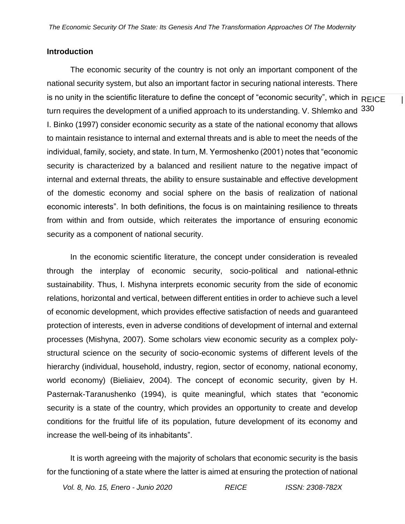#### **Introduction**

is no unity in the scientific literature to define the concept of "economic security", which in  $\overline{\sf REICE}$  | turn requires the development of a unified approach to its understanding. V. Shlemko and  $\,330$ The economic security of the country is not only an important component of the national security system, but also an important factor in securing national interests. There I. Binko (1997) consider economic security as a state of the national economy that allows to maintain resistance to internal and external threats and is able to meet the needs of the individual, family, society, and state. In turn, M. Yermoshenko (2001) notes that "economic security is characterized by a balanced and resilient nature to the negative impact of internal and external threats, the ability to ensure sustainable and effective development of the domestic economy and social sphere on the basis of realization of national economic interests". In both definitions, the focus is on maintaining resilience to threats from within and from outside, which reiterates the importance of ensuring economic security as a component of national security.

In the economic scientific literature, the concept under consideration is revealed through the interplay of economic security, socio-political and national-ethnic sustainability. Thus, I. Mishyna interprets economic security from the side of economic relations, horizontal and vertical, between different entities in order to achieve such a level of economic development, which provides effective satisfaction of needs and guaranteed protection of interests, even in adverse conditions of development of internal and external processes (Mishyna, 2007). Some scholars view economic security as a complex polystructural science on the security of socio-economic systems of different levels of the hierarchy (individual, household, industry, region, sector of economy, national economy, world economy) (Bieliaiev, 2004). The concept of economic security, given by H. Pasternak-Taranushenko (1994), is quite meaningful, which states that "economic security is a state of the country, which provides an opportunity to create and develop conditions for the fruitful life of its population, future development of its economy and increase the well-being of its inhabitants".

It is worth agreeing with the majority of scholars that economic security is the basis for the functioning of a state where the latter is aimed at ensuring the protection of national

*Vol. 8, No. 15, Enero - Junio 2020 REICE ISSN: 2308-782X*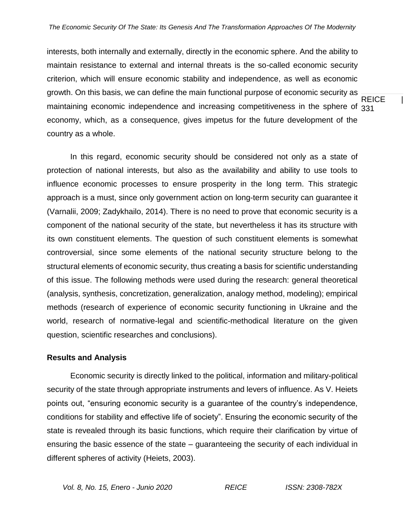**REICE** maintaining economic independence and increasing competitiveness in the sphere of 331 interests, both internally and externally, directly in the economic sphere. And the ability to maintain resistance to external and internal threats is the so-called economic security criterion, which will ensure economic stability and independence, as well as economic growth. On this basis, we can define the main functional purpose of economic security as economy, which, as a consequence, gives impetus for the future development of the country as a whole.

In this regard, economic security should be considered not only as a state of protection of national interests, but also as the availability and ability to use tools to influence economic processes to ensure prosperity in the long term. This strategic approach is a must, since only government action on long-term security can guarantee it (Varnalii, 2009; Zadykhailo, 2014). There is no need to prove that economic security is a component of the national security of the state, but nevertheless it has its structure with its own constituent elements. The question of such constituent elements is somewhat controversial, since some elements of the national security structure belong to the structural elements of economic security, thus creating a basis for scientific understanding of this issue. The following methods were used during the research: general theoretical (analysis, synthesis, concretization, generalization, analogy method, modeling); empirical methods (research of experience of economic security functioning in Ukraine and the world, research of normative-legal and scientific-methodical literature on the given question, scientific researches and conclusions).

# **Results and Analysis**

Economic security is directly linked to the political, information and military-political security of the state through appropriate instruments and levers of influence. As V. Heiets points out, "ensuring economic security is a guarantee of the country's independence, conditions for stability and effective life of society". Ensuring the economic security of the state is revealed through its basic functions, which require their clarification by virtue of ensuring the basic essence of the state – guaranteeing the security of each individual in different spheres of activity (Heiets, 2003).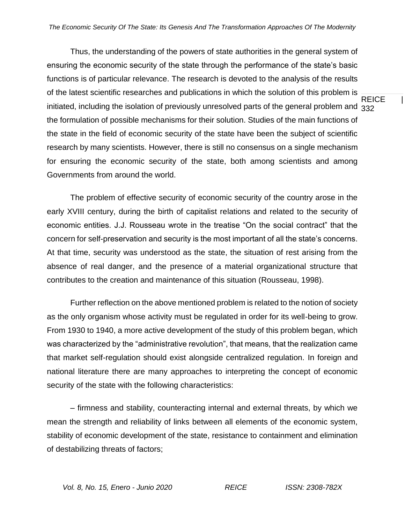initiated, including the isolation of previously unresolved parts of the general problem and  $_{\rm 332}$ Thus, the understanding of the powers of state authorities in the general system of ensuring the economic security of the state through the performance of the state's basic functions is of particular relevance. The research is devoted to the analysis of the results of the latest scientific researches and publications in which the solution of this problem is the formulation of possible mechanisms for their solution. Studies of the main functions of the state in the field of economic security of the state have been the subject of scientific research by many scientists. However, there is still no consensus on a single mechanism for ensuring the economic security of the state, both among scientists and among Governments from around the world.

The problem of effective security of economic security of the country arose in the early XVIII century, during the birth of capitalist relations and related to the security of economic entities. J.J. Rousseau wrote in the treatise "On the social contract" that the concern for self-preservation and security is the most important of all the state's concerns. At that time, security was understood as the state, the situation of rest arising from the absence of real danger, and the presence of a material organizational structure that contributes to the creation and maintenance of this situation (Rousseau, 1998).

Further reflection on the above mentioned problem is related to the notion of society as the only organism whose activity must be regulated in order for its well-being to grow. From 1930 to 1940, a more active development of the study of this problem began, which was characterized by the "administrative revolution", that means, that the realization came that market self-regulation should exist alongside centralized regulation. In foreign and national literature there are many approaches to interpreting the concept of economic security of the state with the following characteristics:

– firmness and stability, counteracting internal and external threats, by which we mean the strength and reliability of links between all elements of the economic system, stability of economic development of the state, resistance to containment and elimination of destabilizing threats of factors;

**REICE**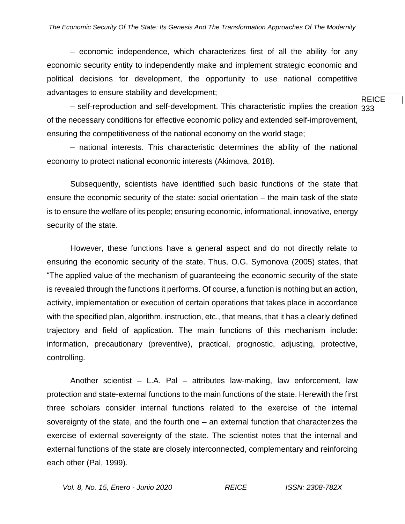– economic independence, which characterizes first of all the ability for any economic security entity to independently make and implement strategic economic and political decisions for development, the opportunity to use national competitive advantages to ensure stability and development;

 $-$  self-reproduction and self-development. This characteristic implies the creation  $333$ of the necessary conditions for effective economic policy and extended self-improvement, ensuring the competitiveness of the national economy on the world stage;

– national interests. This characteristic determines the ability of the national economy to protect national economic interests (Akimova, 2018).

Subsequently, scientists have identified such basic functions of the state that ensure the economic security of the state: social orientation – the main task of the state is to ensure the welfare of its people; ensuring economic, informational, innovative, energy security of the state.

However, these functions have a general aspect and do not directly relate to ensuring the economic security of the state. Thus, O.G. Symonova (2005) states, that "The applied value of the mechanism of guaranteeing the economic security of the state is revealed through the functions it performs. Of course, a function is nothing but an action, activity, implementation or execution of certain operations that takes place in accordance with the specified plan, algorithm, instruction, etc., that means, that it has a clearly defined trajectory and field of application. The main functions of this mechanism include: information, precautionary (preventive), practical, prognostic, adjusting, protective, controlling.

Another scientist – L.A. Pal – attributes law-making, law enforcement, law protection and state-external functions to the main functions of the state. Herewith the first three scholars consider internal functions related to the exercise of the internal sovereignty of the state, and the fourth one – an external function that characterizes the exercise of external sovereignty of the state. The scientist notes that the internal and external functions of the state are closely interconnected, complementary and reinforcing each other (Pal, 1999).

**REICE**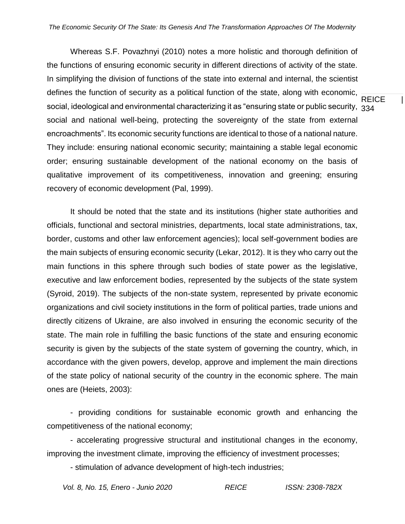social, ideological and environmental characterizing it as "ensuring state or public security,  $\,{}_{334}\,$ Whereas S.F. Povazhnyi (2010) notes a more holistic and thorough definition of the functions of ensuring economic security in different directions of activity of the state. In simplifying the division of functions of the state into external and internal, the scientist defines the function of security as a political function of the state, along with economic, social and national well-being, protecting the sovereignty of the state from external encroachments". Its economic security functions are identical to those of a national nature. They include: ensuring national economic security; maintaining a stable legal economic order; ensuring sustainable development of the national economy on the basis of qualitative improvement of its competitiveness, innovation and greening; ensuring recovery of economic development (Pal, 1999).

It should be noted that the state and its institutions (higher state authorities and officials, functional and sectoral ministries, departments, local state administrations, tax, border, customs and other law enforcement agencies); local self-government bodies are the main subjects of ensuring economic security (Lekar, 2012). It is they who carry out the main functions in this sphere through such bodies of state power as the legislative, executive and law enforcement bodies, represented by the subjects of the state system (Syroid, 2019). The subjects of the non-state system, represented by private economic organizations and civil society institutions in the form of political parties, trade unions and directly citizens of Ukraine, are also involved in ensuring the economic security of the state. The main role in fulfilling the basic functions of the state and ensuring economic security is given by the subjects of the state system of governing the country, which, in accordance with the given powers, develop, approve and implement the main directions of the state policy of national security of the country in the economic sphere. The main ones are (Heiets, 2003):

- providing conditions for sustainable economic growth and enhancing the competitiveness of the national economy;

- accelerating progressive structural and institutional changes in the economy, improving the investment climate, improving the efficiency of investment processes;

- stimulation of advance development of high-tech industries;

**REICE**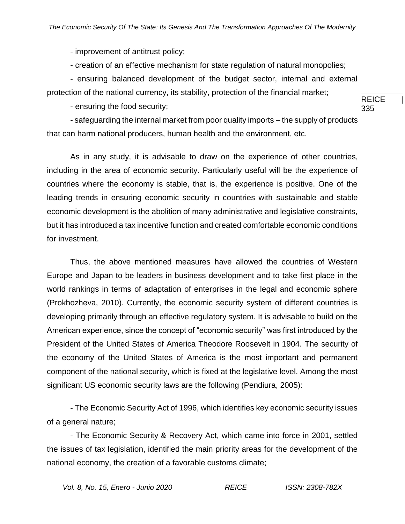- improvement of antitrust policy;

- creation of an effective mechanism for state regulation of natural monopolies;

- ensuring balanced development of the budget sector, internal and external protection of the national currency, its stability, protection of the financial market;

- ensuring the food security;

**REICE** 335

- safeguarding the internal market from poor quality imports – the supply of products that can harm national producers, human health and the environment, etc.

As in any study, it is advisable to draw on the experience of other countries, including in the area of economic security. Particularly useful will be the experience of countries where the economy is stable, that is, the experience is positive. One of the leading trends in ensuring economic security in countries with sustainable and stable economic development is the abolition of many administrative and legislative constraints, but it has introduced a tax incentive function and created comfortable economic conditions for investment.

Thus, the above mentioned measures have allowed the countries of Western Europe and Japan to be leaders in business development and to take first place in the world rankings in terms of adaptation of enterprises in the legal and economic sphere (Prokhozheva, 2010). Currently, the economic security system of different countries is developing primarily through an effective regulatory system. It is advisable to build on the American experience, since the concept of "economic security" was first introduced by the President of the United States of America Theodore Roosevelt in 1904. The security of the economy of the United States of America is the most important and permanent component of the national security, which is fixed at the legislative level. Among the most significant US economic security laws are the following (Pendiura, 2005):

- The Economic Security Act of 1996, which identifies key economic security issues of a general nature;

- The Economic Security & Recovery Act, which came into force in 2001, settled the issues of tax legislation, identified the main priority areas for the development of the national economy, the creation of a favorable customs climate;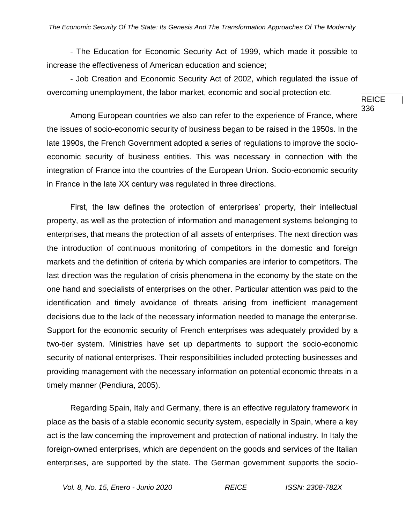- The Education for Economic Security Act of 1999, which made it possible to increase the effectiveness of American education and science;

- Job Creation and Economic Security Act of 2002, which regulated the issue of overcoming unemployment, the labor market, economic and social protection etc.

Among European countries we also can refer to the experience of France, where the issues of socio-economic security of business began to be raised in the 1950s. In the late 1990s, the French Government adopted a series of regulations to improve the socioeconomic security of business entities. This was necessary in connection with the integration of France into the countries of the European Union. Socio-economic security in France in the late ХХ century was regulated in three directions.

First, the law defines the protection of enterprises' property, their intellectual property, as well as the protection of information and management systems belonging to enterprises, that means the protection of all assets of enterprises. The next direction was the introduction of continuous monitoring of competitors in the domestic and foreign markets and the definition of criteria by which companies are inferior to competitors. The last direction was the regulation of crisis phenomena in the economy by the state on the one hand and specialists of enterprises on the other. Particular attention was paid to the identification and timely avoidance of threats arising from inefficient management decisions due to the lack of the necessary information needed to manage the enterprise. Support for the economic security of French enterprises was adequately provided by a two-tier system. Ministries have set up departments to support the socio-economic security of national enterprises. Their responsibilities included protecting businesses and providing management with the necessary information on potential economic threats in a timely manner (Pendiura, 2005).

Regarding Spain, Italy and Germany, there is an effective regulatory framework in place as the basis of a stable economic security system, especially in Spain, where a key act is the law concerning the improvement and protection of national industry. In Italy the foreign-owned enterprises, which are dependent on the goods and services of the Italian enterprises, are supported by the state. The German government supports the socio-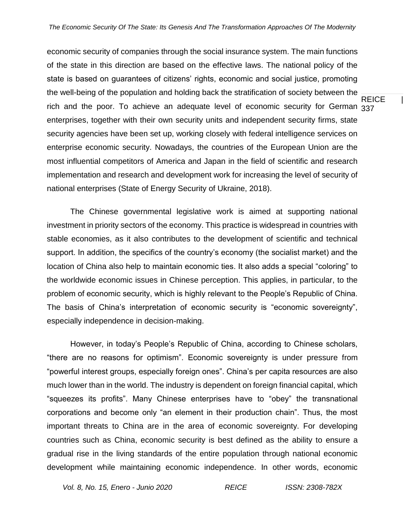rich and the poor. To achieve an adequate level of economic security for German 337 economic security of companies through the social insurance system. The main functions of the state in this direction are based on the effective laws. The national policy of the state is based on guarantees of citizens' rights, economic and social justice, promoting the well-being of the population and holding back the stratification of society between the enterprises, together with their own security units and independent security firms, state security agencies have been set up, working closely with federal intelligence services on enterprise economic security. Nowadays, the countries of the European Union are the most influential competitors of America and Japan in the field of scientific and research implementation and research and development work for increasing the level of security of national enterprises (State of Energy Security of Ukraine, 2018).

The Chinese governmental legislative work is aimed at supporting national investment in priority sectors of the economy. This practice is widespread in countries with stable economies, as it also contributes to the development of scientific and technical support. In addition, the specifics of the country's economy (the socialist market) and the location of China also help to maintain economic ties. It also adds a special "coloring" to the worldwide economic issues in Chinese perception. This applies, in particular, to the problem of economic security, which is highly relevant to the People's Republic of China. The basis of China's interpretation of economic security is "economic sovereignty", especially independence in decision-making.

However, in today's People's Republic of China, according to Chinese scholars, "there are no reasons for optimism". Economic sovereignty is under pressure from "powerful interest groups, especially foreign ones". China's per capita resources are also much lower than in the world. The industry is dependent on foreign financial capital, which "squeezes its profits". Many Chinese enterprises have to "obey" the transnational corporations and become only "an element in their production chain". Thus, the most important threats to China are in the area of economic sovereignty. For developing countries such as China, economic security is best defined as the ability to ensure a gradual rise in the living standards of the entire population through national economic development while maintaining economic independence. In other words, economic

*Vol. 8, No. 15, Enero - Junio 2020 REICE ISSN: 2308-782X*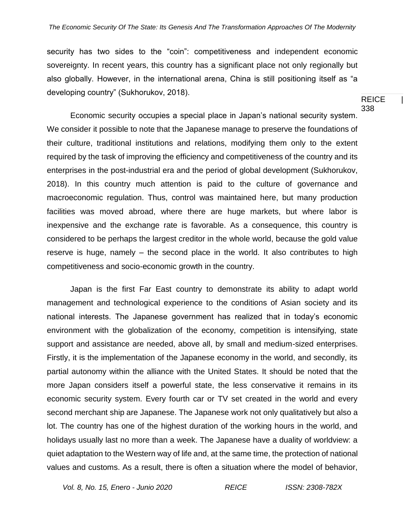security has two sides to the "coin": competitiveness and independent economic sovereignty. In recent years, this country has a significant place not only regionally but also globally. However, in the international arena, China is still positioning itself as "a developing country" (Sukhorukov, 2018).

Economic security occupies a special place in Japan's national security system. We consider it possible to note that the Japanese manage to preserve the foundations of their culture, traditional institutions and relations, modifying them only to the extent required by the task of improving the efficiency and competitiveness of the country and its enterprises in the post-industrial era and the period of global development (Sukhorukov, 2018). In this country much attention is paid to the culture of governance and macroeconomic regulation. Thus, control was maintained here, but many production facilities was moved abroad, where there are huge markets, but where labor is inexpensive and the exchange rate is favorable. As a consequence, this country is considered to be perhaps the largest creditor in the whole world, because the gold value reserve is huge, namely – the second place in the world. It also contributes to high competitiveness and socio-economic growth in the country.

Japan is the first Far East country to demonstrate its ability to adapt world management and technological experience to the conditions of Asian society and its national interests. The Japanese government has realized that in today's economic environment with the globalization of the economy, competition is intensifying, state support and assistance are needed, above all, by small and medium-sized enterprises. Firstly, it is the implementation of the Japanese economy in the world, and secondly, its partial autonomy within the alliance with the United States. It should be noted that the more Japan considers itself a powerful state, the less conservative it remains in its economic security system. Every fourth car or TV set created in the world and every second merchant ship are Japanese. The Japanese work not only qualitatively but also a lot. The country has one of the highest duration of the working hours in the world, and holidays usually last no more than a week. The Japanese have a duality of worldview: a quiet adaptation to the Western way of life and, at the same time, the protection of national values and customs. As a result, there is often a situation where the model of behavior,

*Vol. 8, No. 15, Enero - Junio 2020 REICE ISSN: 2308-782X*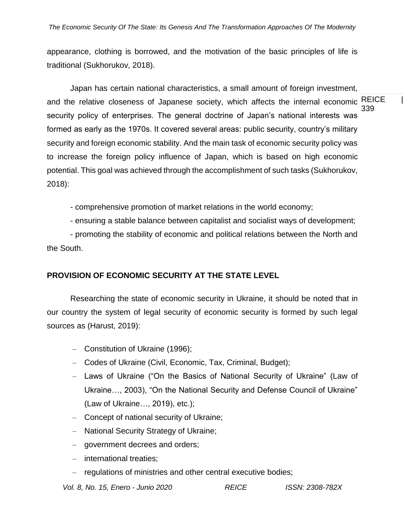appearance, clothing is borrowed, and the motivation of the basic principles of life is traditional (Sukhorukov, 2018).

REICE | 339 Japan has certain national characteristics, a small amount of foreign investment, and the relative closeness of Japanese society, which affects the internal economic security policy of enterprises. The general doctrine of Japan's national interests was formed as early as the 1970s. It covered several areas: public security, country's military security and foreign economic stability. And the main task of economic security policy was to increase the foreign policy influence of Japan, which is based on high economic potential. This goal was achieved through the accomplishment of such tasks (Sukhorukov, 2018):

- comprehensive promotion of market relations in the world economy;

- ensuring a stable balance between capitalist and socialist ways of development;

- promoting the stability of economic and political relations between the North and the South.

### **PROVISION OF ECONOMIC SECURITY AT THE STATE LEVEL**

Researching the state of economic security in Ukraine, it should be noted that in our country the system of legal security of economic security is formed by such legal sources as (Harust, 2019):

- Constitution of Ukraine (1996);
- Codes of Ukraine (Civil, Economic, Tax, Criminal, Budget);
- Laws of Ukraine ("On the Basics of National Security of Ukraine" (Law of Ukraine…, 2003), "On the National Security and Defense Council of Ukraine" (Law of Ukraine…, 2019), etc.);
- Concept of national security of Ukraine;
- National Security Strategy of Ukraine;
- government decrees and orders;
- international treaties;
- regulations of ministries and other central executive bodies;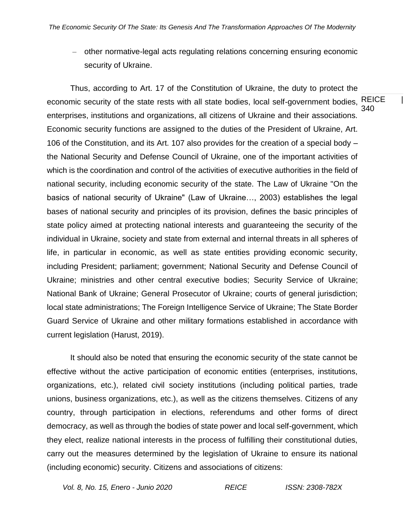– other normative-legal acts regulating relations concerning ensuring economic security of Ukraine.

REICE | 340 Thus, according to Art. 17 of the Constitution of Ukraine, the duty to protect the economic security of the state rests with all state bodies, local self-government bodies, enterprises, institutions and organizations, all citizens of Ukraine and their associations. Economic security functions are assigned to the duties of the President of Ukraine, Art. 106 of the Constitution, and its Art. 107 also provides for the creation of a special body – the National Security and Defense Council of Ukraine, one of the important activities of which is the coordination and control of the activities of executive authorities in the field of national security, including economic security of the state. The Law of Ukraine "On the basics of national security of Ukraine" (Law of Ukraine…, 2003) establishes the legal bases of national security and principles of its provision, defines the basic principles of state policy aimed at protecting national interests and guaranteeing the security of the individual in Ukraine, society and state from external and internal threats in all spheres of life, in particular in economic, as well as state entities providing economic security, including President; parliament; government; National Security and Defense Council of Ukraine; ministries and other central executive bodies; Security Service of Ukraine; National Bank of Ukraine; General Prosecutor of Ukraine; courts of general jurisdiction; local state administrations; The Foreign Intelligence Service of Ukraine; The State Border Guard Service of Ukraine and other military formations established in accordance with current legislation (Harust, 2019).

It should also be noted that ensuring the economic security of the state cannot be effective without the active participation of economic entities (enterprises, institutions, organizations, etc.), related civil society institutions (including political parties, trade unions, business organizations, etc.), as well as the citizens themselves. Citizens of any country, through participation in elections, referendums and other forms of direct democracy, as well as through the bodies of state power and local self-government, which they elect, realize national interests in the process of fulfilling their constitutional duties, carry out the measures determined by the legislation of Ukraine to ensure its national (including economic) security. Citizens and associations of citizens:

*Vol. 8, No. 15, Enero - Junio 2020 REICE ISSN: 2308-782X*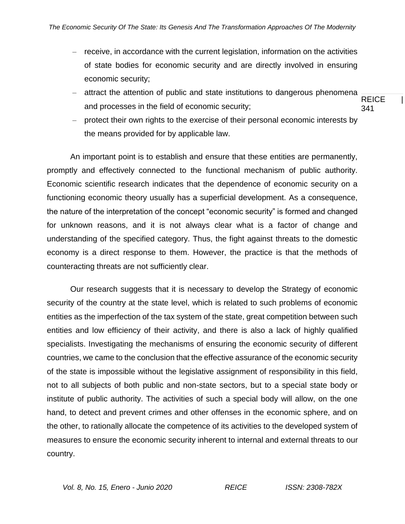- receive, in accordance with the current legislation, information on the activities of state bodies for economic security and are directly involved in ensuring economic security;
- **REICE** 341 – attract the attention of public and state institutions to dangerous phenomena and processes in the field of economic security;
- protect their own rights to the exercise of their personal economic interests by the means provided for by applicable law.

An important point is to establish and ensure that these entities are permanently, promptly and effectively connected to the functional mechanism of public authority. Economic scientific research indicates that the dependence of economic security on a functioning economic theory usually has a superficial development. As a consequence, the nature of the interpretation of the concept "economic security" is formed and changed for unknown reasons, and it is not always clear what is a factor of change and understanding of the specified category. Thus, the fight against threats to the domestic economy is a direct response to them. However, the practice is that the methods of counteracting threats are not sufficiently clear.

Our research suggests that it is necessary to develop the Strategy of economic security of the country at the state level, which is related to such problems of economic entities as the imperfection of the tax system of the state, great competition between such entities and low efficiency of their activity, and there is also a lack of highly qualified specialists. Investigating the mechanisms of ensuring the economic security of different countries, we came to the conclusion that the effective assurance of the economic security of the state is impossible without the legislative assignment of responsibility in this field, not to all subjects of both public and non-state sectors, but to a special state body or institute of public authority. The activities of such a special body will allow, on the one hand, to detect and prevent crimes and other offenses in the economic sphere, and on the other, to rationally allocate the competence of its activities to the developed system of measures to ensure the economic security inherent to internal and external threats to our country.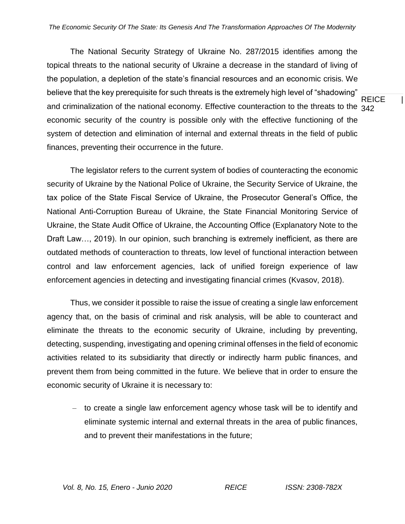REICE | and criminalization of the national economy. Effective counteraction to the threats to the  $_{\rm 342}$ The National Security Strategy of Ukraine No. 287/2015 identifies among the topical threats to the national security of Ukraine a decrease in the standard of living of the population, a depletion of the state's financial resources and an economic crisis. We believe that the key prerequisite for such threats is the extremely high level of "shadowing" economic security of the country is possible only with the effective functioning of the system of detection and elimination of internal and external threats in the field of public finances, preventing their occurrence in the future.

The legislator refers to the current system of bodies of counteracting the economic security of Ukraine by the National Police of Ukraine, the Security Service of Ukraine, the tax police of the State Fiscal Service of Ukraine, the Prosecutor General's Office, the National Anti-Corruption Bureau of Ukraine, the State Financial Monitoring Service of Ukraine, the State Audit Office of Ukraine, the Accounting Office (Explanatory Note to the Draft Law…, 2019). In our opinion, such branching is extremely inefficient, as there are outdated methods of counteraction to threats, low level of functional interaction between control and law enforcement agencies, lack of unified foreign experience of law enforcement agencies in detecting and investigating financial crimes (Kvasov, 2018).

Thus, we consider it possible to raise the issue of creating a single law enforcement agency that, on the basis of criminal and risk analysis, will be able to counteract and eliminate the threats to the economic security of Ukraine, including by preventing, detecting, suspending, investigating and opening criminal offenses in the field of economic activities related to its subsidiarity that directly or indirectly harm public finances, and prevent them from being committed in the future. We believe that in order to ensure the economic security of Ukraine it is necessary to:

– to create a single law enforcement agency whose task will be to identify and eliminate systemic internal and external threats in the area of public finances, and to prevent their manifestations in the future;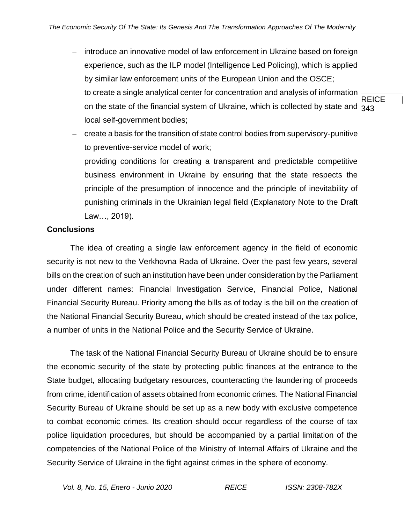- introduce an innovative model of law enforcement in Ukraine based on foreign experience, such as the ILP model (Intelligence Led Policing), which is applied by similar law enforcement units of the European Union and the OSCE;
- **REICE** on the state of the financial system of Ukraine, which is collected by state and  $\,{}_{343}$ – to create a single analytical center for concentration and analysis of information local self-government bodies;
- create a basis for the transition of state control bodies from supervisory-punitive to preventive-service model of work;
- providing conditions for creating a transparent and predictable competitive business environment in Ukraine by ensuring that the state respects the principle of the presumption of innocence and the principle of inevitability of punishing criminals in the Ukrainian legal field (Explanatory Note to the Draft Law…, 2019).

### **Conclusions**

The idea of creating a single law enforcement agency in the field of economic security is not new to the Verkhovna Rada of Ukraine. Over the past few years, several bills on the creation of such an institution have been under consideration by the Parliament under different names: Financial Investigation Service, Financial Police, National Financial Security Bureau. Priority among the bills as of today is the bill on the creation of the National Financial Security Bureau, which should be created instead of the tax police, a number of units in the National Police and the Security Service of Ukraine.

The task of the National Financial Security Bureau of Ukraine should be to ensure the economic security of the state by protecting public finances at the entrance to the State budget, allocating budgetary resources, counteracting the laundering of proceeds from crime, identification of assets obtained from economic crimes. The National Financial Security Bureau of Ukraine should be set up as a new body with exclusive competence to combat economic crimes. Its creation should occur regardless of the course of tax police liquidation procedures, but should be accompanied by a partial limitation of the competencies of the National Police of the Ministry of Internal Affairs of Ukraine and the Security Service of Ukraine in the fight against crimes in the sphere of economy.

*Vol. 8, No. 15, Enero - Junio 2020 REICE ISSN: 2308-782X*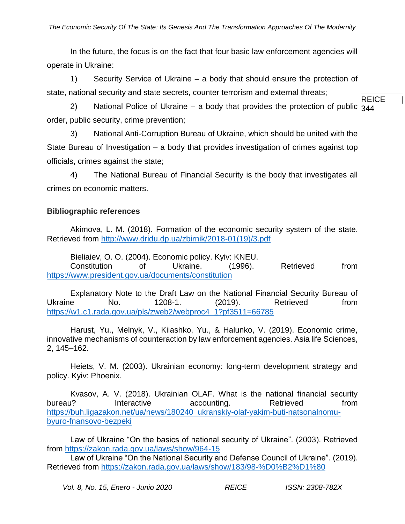In the future, the focus is on the fact that four basic law enforcement agencies will operate in Ukraine:

1) Security Service of Ukraine – a body that should ensure the protection of state, national security and state secrets, counter terrorism and external threats;

REICE | 2) National Police of Ukraine – a body that provides the protection of public  $344$ order, public security, crime prevention;

3) National Anti-Corruption Bureau of Ukraine, which should be united with the State Bureau of Investigation – a body that provides investigation of crimes against top officials, crimes against the state;

4) The National Bureau of Financial Security is the body that investigates all crimes on economic matters.

## **Bibliographic references**

Akimova, L. M. (2018). Formation of the economic security system of the state. Retrieved from [http://www.dridu.dp.ua/zbirnik/2018-01\(19\)/3.pdf](http://www.dridu.dp.ua/zbirnik/2018-01(19)/3.pdf)

Bieliaiev, O. O. (2004). Economic policy. Kyiv: KNEU. Constitution of Ukraine. (1996). Retrieved from <https://www.president.gov.ua/documents/constitution>

Explanatory Note to the Draft Law on the National Financial Security Bureau of Ukraine No. 1208-1. (2019). Retrieved from [https://w1.c1.rada.gov.ua/pls/zweb2/webproc4\\_1?pf3511=66785](https://w1.c1.rada.gov.ua/pls/zweb2/webproc4_1?pf3511=66785)

Harust, Yu., Melnyk, V., Kiiashko, Yu., & Halunko, V. (2019). Economic crime, innovative mechanisms of counteraction by law enforcement agencies. Asia life Sciences, 2, 145–162.

Heiets, V. M. (2003). Ukrainian economy: long-term development strategy and policy. Kyiv: Phoenix.

Kvasov, A. V. (2018). Ukrainian OLAF. What is the national financial security bureau? Interactive accounting. Retrieved from [https://buh.ligazakon.net/ua/news/180240\\_ukranskiy-olaf-yakim-buti-natsonalnomu](https://buh.ligazakon.net/ua/news/180240_ukranskiy-olaf-yakim-buti-natsonalnomu-byuro-fnansovo-bezpeki)[byuro-fnansovo-bezpeki](https://buh.ligazakon.net/ua/news/180240_ukranskiy-olaf-yakim-buti-natsonalnomu-byuro-fnansovo-bezpeki)

Law of Ukraine "On the basics of national security of Ukraine". (2003). Retrieved from<https://zakon.rada.gov.ua/laws/show/964-15>

Law of Ukraine "On the National Security and Defense Council of Ukraine". (2019). Retrieved from<https://zakon.rada.gov.ua/laws/show/183/98-%D0%B2%D1%80>